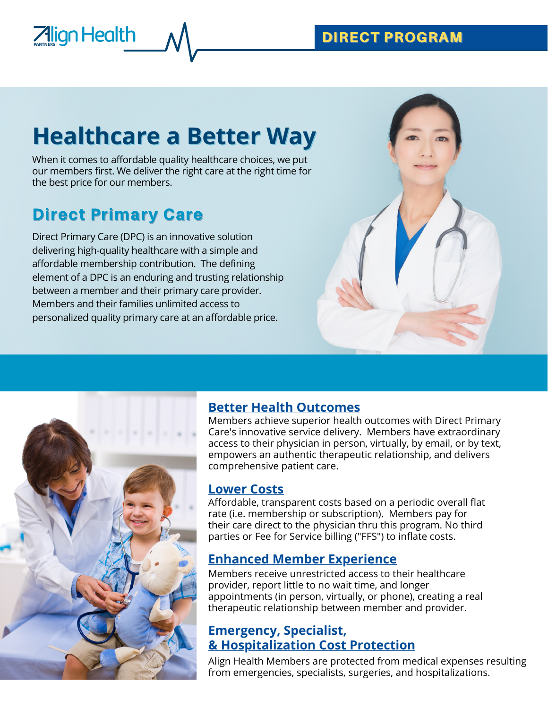### DIRECT PROGRAM

# **Healthcare a Better Way**

When it comes to affordable quality healthcare choices, we put our members first. We deliver the right care at the right time for the best price for our members.

## Direct Primary Care

**Align Health** 

Direct Primary Care (DPC) is an innovative solution delivering high-quality healthcare with a simple and affordable membership contribution. The defining element of a DPC is an enduring and trusting relationship between a member and their primary care provider. Members and their families unlimited access to personalized quality primary care at an affordable price.



### **Better Health Outcomes**

Members achieve superior health outcomes with Direct Primary Care's innovative service delivery. Members have extraordinary access to their physician in person, virtually, by email, or by text, empowers an authentic therapeutic relationship, and delivers comprehensive patient care.

### **Lower Costs**

Affordable, transparent costs based on a periodic overall flat rate (i.e. membership or subscription). Members pay for their care direct to the physician thru this program. No third parties or Fee for Service billing ("FFS") to inflate costs.

### **Enhanced Member Experience**

Members receive unrestricted access to their healthcare provider, report little to no wait time, and longer appointments (in person, virtually, or phone), creating a real therapeutic relationship between member and provider.

### **Emergency, Specialist, & Hospitalization Cost Protection**

Align Health Members are protected from medical expenses resulting from emergencies, specialists, surgeries, and hospitalizations.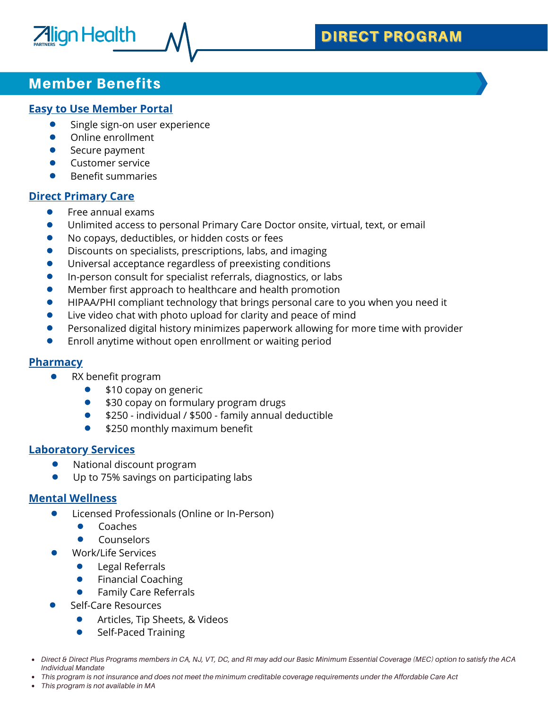### DIRECT PROGRAM

### Member Benefits

**Align Health** 

#### **Easy to Use Member Portal**

- Single sign-on user experience
- Online enrollment  $\bullet$
- $\bullet$ Secure payment
- $\bullet$ Customer service
- $\bullet$ Benefit summaries

#### **Direct Primary Care**

- $\bullet$ Free annual exams
- Unlimited access to personal Primary Care Doctor onsite, virtual, text, or email
- No copays, deductibles, or hidden costs or fees
- Discounts on specialists, prescriptions, labs, and imaging
- Universal acceptance regardless of preexisting conditions
- In-person consult for specialist referrals, diagnostics, or labs
- Member first approach to healthcare and health promotion  $\bullet$
- HIPAA/PHI compliant technology that brings personal care to you when you need it
- Live video chat with photo upload for clarity and peace of mind
- Personalized digital history minimizes paperwork allowing for more time with provider
- $\bullet$ Enroll anytime without open enrollment or waiting period

#### **Pharmacy**

- $\bullet$ RX benefit program
	- \$10 copay on generic
	- \$30 copay on formulary program drugs  $\bullet$
	- \$250 individual / \$500 family annual deductible
	- \$250 monthly maximum benefit

#### **Laboratory Services**

- National discount program
- Up to 75% savings on participating labs

#### **Mental Wellness**

- Licensed Professionals (Online or In-Person)  $\bullet$ 
	- Coaches  $\bullet$
	- Counselors
- Work/Life Services
	- $\bullet$ Legal Referrals
	- Financial Coaching
	- Family Care Referrals
- Self-Care Resources
	- $\bullet$ Articles, Tip Sheets, & Videos
	- Self-Paced Training  $\bullet$
- Direct & Direct Plus Programs members in CA, NJ, VT, DC, and RI may add our Basic Minimum Essential Coverage (MEC) option to satisfy the ACA *Individual Mandate*
- This program is not insurance and does not meet the minimum creditable coverage requirements under the Affordable Care Act
- *This program is not available in MA*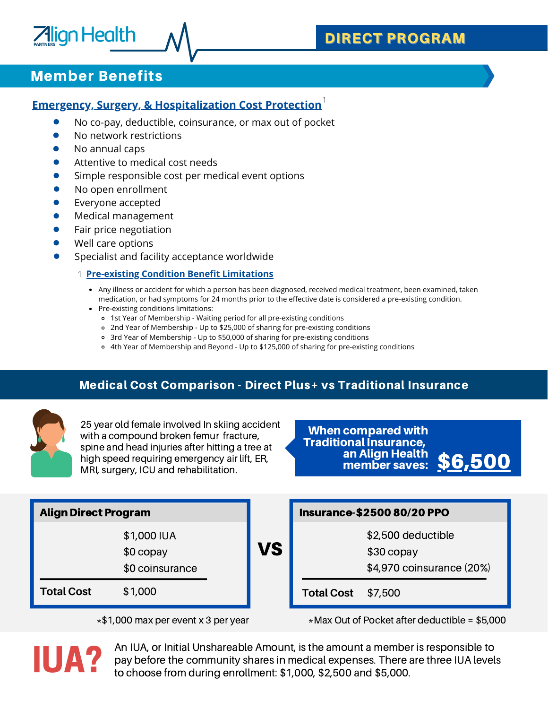### Member Benefits

**Align Health** 

#### **Emergency, Surgery, & Hospitalization Cost Protection** 1

- No co-pay, deductible, coinsurance, or max out of pocket  $\bullet$
- No network restrictions  $\bullet$
- No annual caps  $\bullet$
- $\bullet$ Attentive to medical cost needs
- Simple responsible cost per medical event options  $\bullet$
- $\bullet$ No open enrollment
- Everyone accepted  $\bullet$
- $\bullet$ Medical management
- Fair price negotiation
- Well care options
- Specialist and facility acceptance worldwide
	- **Pre-existing Condition Benefit Limitations** 1
		- Any illness or accident for which a person has been diagnosed, received medical treatment, been examined, taken medication, or had symptoms for 24 months prior to the effective date is considered a pre-existing condition.
		- Pre-existing conditions limitations:
			- 1st Year of Membership Waiting period for all pre-existing conditions
			- 2nd Year of Membership Up to \$25,000 of sharing for pre-existing conditions
			- 3rd Year of Membership Up to \$50,000 of sharing for pre-existing conditions
			- 4th Year of Membership and Beyond Up to \$125,000 of sharing for pre-existing conditions

#### Medical Cost Comparison - Direct Plus+ vs Traditional Insurance



25 year old female involved In skiing accident with a compound broken femur fracture, spine and head injuries after hitting a tree at high speed requiring emergency air lift, ER, MRI, surgery, ICU and rehabilitation.

When compared with Traditional Insurance, an Align Health member saves: \$6,500

| <b>Align Direct Program</b> |                                              |    | <b>Insurance-\$2500 80/20 PPO</b> |                                                                |  |  |
|-----------------------------|----------------------------------------------|----|-----------------------------------|----------------------------------------------------------------|--|--|
|                             | \$1,000 IUA<br>$$0$ copay<br>\$0 coinsurance | VS |                                   | \$2,500 deductible<br>$$30$ copay<br>\$4,970 coinsurance (20%) |  |  |
| <b>Total Cost</b>           | \$1,000                                      |    | <b>Total Cost</b>                 | \$7,500                                                        |  |  |

 $*$ \$1,000 max per event x 3 per year  $*$ Max Out of Pocket after deductible = \$5,000



An IUA, or Initial Unshareable Amount, is the amount a member is responsible to pay before the community shares in medical expenses. There are three IUA levels<br>IUA? to choose from during enrollment: \$1,000, \$2,500 and \$5,000.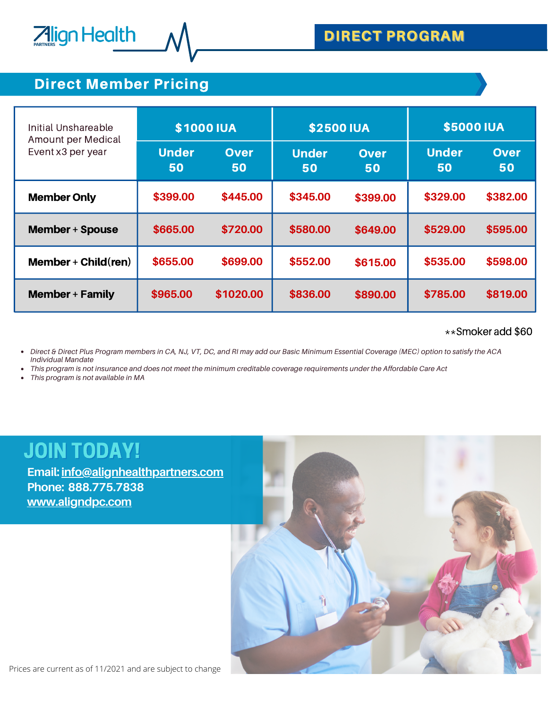

1<br>1910 - Paul Barnett, amerikansk matematik<br>1910 - Paul Barnett, amerikansk matematik

### Direct Member Pricing

**Align Health** 

| Initial Unshareable<br>Amount per Medical | <b>\$1000 IUA</b>  |                   | <b>\$2500 IUA</b>  |                   | <b>\$5000 IUA</b>  |                   |
|-------------------------------------------|--------------------|-------------------|--------------------|-------------------|--------------------|-------------------|
| Event x3 per year                         | <b>Under</b><br>50 | <b>Over</b><br>50 | <b>Under</b><br>50 | <b>Over</b><br>50 | <b>Under</b><br>50 | <b>Over</b><br>50 |
| <b>Member Only</b>                        | \$399.00           | \$445.00          | \$345.00           | \$399.00          | \$329.00           | \$382.00          |
| <b>Member + Spouse</b>                    | \$665.00           | \$720.00          | \$580.00           | \$649.00          | \$529.00           | \$595.00          |
| Member + $Child$ (ren)                    | \$655.00           | \$699.00          | \$552.00           | \$615.00          | \$535.00           | \$598.00          |
| <b>Member + Family</b>                    | \$965.00           | \$1020.00         | \$836.00           | \$890.00          | \$785.00           | \$819.00          |

#### \*\*Smoker add \$60

Direct & Direct Plus Program members in CA, NJ, VT, DC, and RI may add our Basic Minimum Essential Coverage (MEC) option to satisfy the ACA *Individual Mandate*

This program is not insurance and does not meet the minimum creditable coverage requirements under the Affordable Care Act

*This program is not available in MA*

# JOIN TODAY!

**Email: [info@alignhealthpartners.com](mailto:info@alignhealthpartners.com) Phone: 888.775.7838 [www.aligndpc.com](http://www.aligndpc.com/)**